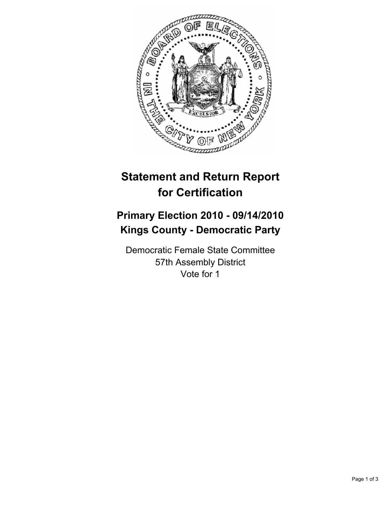

## **Statement and Return Report for Certification**

## **Primary Election 2010 - 09/14/2010 Kings County - Democratic Party**

Democratic Female State Committee 57th Assembly District Vote for 1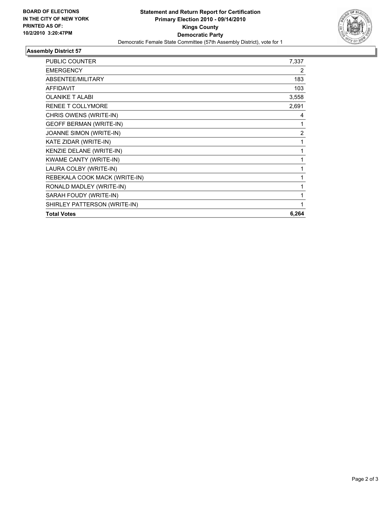

## **Assembly District 57**

| <b>PUBLIC COUNTER</b>          | 7,337 |
|--------------------------------|-------|
| <b>EMERGENCY</b>               | 2     |
| ABSENTEE/MILITARY              | 183   |
| <b>AFFIDAVIT</b>               | 103   |
| <b>OLANIKE T ALABI</b>         | 3,558 |
| <b>RENEE T COLLYMORE</b>       | 2,691 |
| CHRIS OWENS (WRITE-IN)         | 4     |
| <b>GEOFF BERMAN (WRITE-IN)</b> | 1     |
| JOANNE SIMON (WRITE-IN)        | 2     |
| KATE ZIDAR (WRITE-IN)          | 1     |
| KENZIE DELANE (WRITE-IN)       | 1     |
| <b>KWAME CANTY (WRITE-IN)</b>  | 1     |
| LAURA COLBY (WRITE-IN)         | 1     |
| REBEKALA COOK MACK (WRITE-IN)  | 1     |
| RONALD MADLEY (WRITE-IN)       | 1     |
| SARAH FOUDY (WRITE-IN)         | 1     |
| SHIRLEY PATTERSON (WRITE-IN)   | 1     |
| <b>Total Votes</b>             | 6,264 |